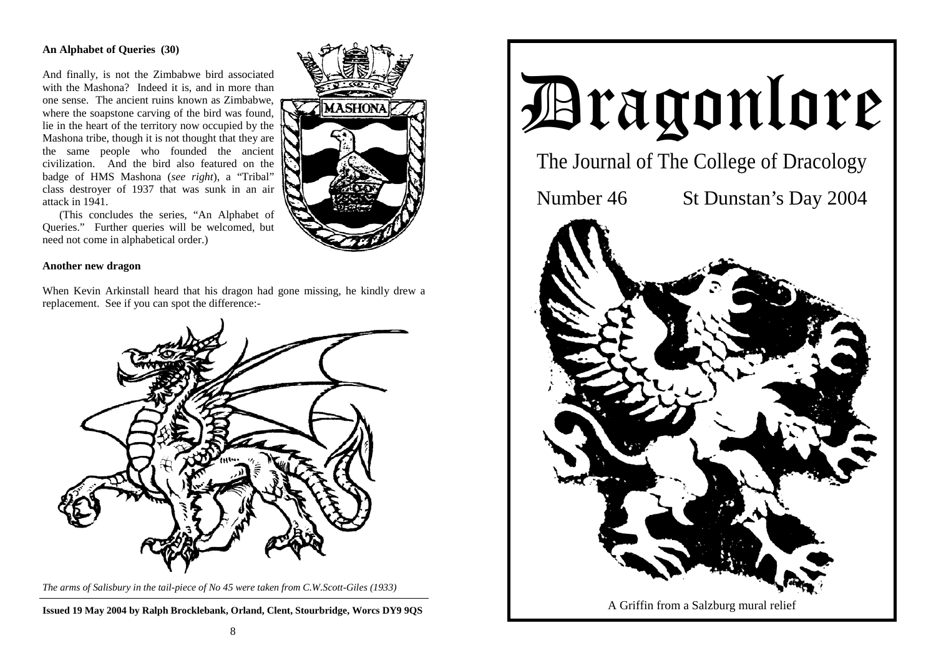# **An Alphabet of Queries (30)**

And finally, is not the Zimbabwe bird associated with the Mashona? Indeed it is, and in more than one sense. The ancient ruins known as Zimbabwe, where the soapstone carving of the bird was found, lie in the heart of the territory now occupied by the Mashona tribe, though it is not thought that they are the same people who founded the ancient civilization. And the bird also featured on the badge of HMS Mashona (*see right*), a "Tribal" class destroyer of 1937 that was sunk in an air attack in 1941.

 (This concludes the series, "An Alphabet of Queries." Further queries will be welcomed, but need not come in alphabetical order.)

### **Another new dragon**

When Kevin Arkinstall heard that his dragon had gone missing, he kindly drew a replacement. See if you can spot the difference:-



*The arms of Salisbury in the tail-piece of No 45 were taken from C.W.Scott-Giles (1933)*

**Issued 19 May 2004 by Ralph Brocklebank, Orland, Clent, Stourbridge, Worcs DY9 9QS**



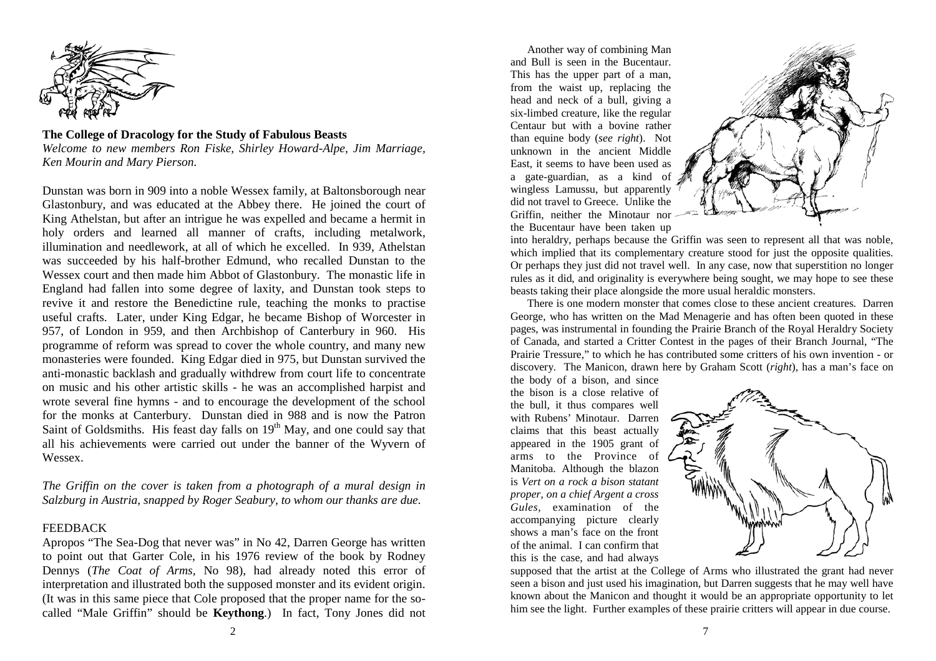

**The College of Dracology for the Study of Fabulous Beasts**  *Welcome to new members Ron Fiske, Shirley Howard-Alpe, Jim Marriage, Ken Mourin and Mary Pierson.* 

Dunstan was born in 909 into a noble Wessex family, at Baltonsborough near Glastonbury, and was educated at the Abbey there. He joined the court of King Athelstan, but after an intrigue he was expelled and became a hermit in holy orders and learned all manner of crafts, including metalwork, illumination and needlework, at all of which he excelled. In 939, Athelstan was succeeded by his half-brother Edmund, who recalled Dunstan to the Wessex court and then made him Abbot of Glastonbury. The monastic life in England had fallen into some degree of laxity, and Dunstan took steps to revive it and restore the Benedictine rule, teaching the monks to practise useful crafts. Later, under King Edgar, he became Bishop of Worcester in 957, of London in 959, and then Archbishop of Canterbury in 960. His programme of reform was spread to cover the whole country, and many new monasteries were founded. King Edgar died in 975, but Dunstan survived the anti-monastic backlash and gradually withdrew from court life to concentrate on music and his other artistic skills - he was an accomplished harpist and wrote several fine hymns - and to encourage the development of the school for the monks at Canterbury. Dunstan died in 988 and is now the Patron Saint of Goldsmiths. His feast day falls on  $19<sup>th</sup>$  May, and one could say that all his achievements were carried out under the banner of the Wyvern of Wessex.

*The Griffin on the cover is taken from a photograph of a mural design in Salzburg in Austria, snapped by Roger Seabury, to whom our thanks are due.*

### FEEDBACK

Apropos "The Sea-Dog that never was" in No 42, Darren George has written to point out that Garter Cole, in his 1976 review of the book by Rodney Dennys (*The Coat of Arms,* No 98), had already noted this error of interpretation and illustrated both the supposed monster and its evident origin. (It was in this same piece that Cole proposed that the proper name for the socalled "Male Griffin" should be **Keythong**.) In fact, Tony Jones did not

 Another way of combining Man and Bull is seen in the Bucentaur. This has the upper part of a man, from the waist up, replacing the head and neck of a bull, giving a six-limbed creature, like the regular Centaur but with a bovine rather than equine body (*see right*). Not unknown in the ancient Middle East, it seems to have been used as a gate-guardian, as a kind of wingless Lamussu, but apparently did not travel to Greece. Unlike the Griffin, neither the Minotaur nor the Bucentaur have been taken up



into heraldry, perhaps because the Griffin was seen to represent all that was noble, which implied that its complementary creature stood for just the opposite qualities. Or perhaps they just did not travel well. In any case, now that superstition no longer rules as it did, and originality is everywhere being sought, we may hope to see these beasts taking their place alongside the more usual heraldic monsters.

 There is one modern monster that comes close to these ancient creatures. Darren George, who has written on the Mad Menagerie and has often been quoted in these pages, was instrumental in founding the Prairie Branch of the Royal Heraldry Society of Canada, and started a Critter Contest in the pages of their Branch Journal, "The Prairie Tressure," to which he has contributed some critters of his own invention - or discovery. The Manicon, drawn here by Graham Scott (*right*), has a man's face on

the body of a bison, and since the bison is a close relative of the bull, it thus compares well with Rubens' Minotaur. Darren claims that this beast actually appeared in the 1905 grant of arms to the Province of Manitoba. Although the blazon is *Vert on a rock a bison statant proper, on a chief Argent a cross Gules,* examination of the accompanying picture clearly shows a man's face on the front of the animal. I can confirm that this is the case, and had always



supposed that the artist at the College of Arms who illustrated the grant had never seen a bison and just used his imagination, but Darren suggests that he may well have known about the Manicon and thought it would be an appropriate opportunity to let him see the light. Further examples of these prairie critters will appear in due course.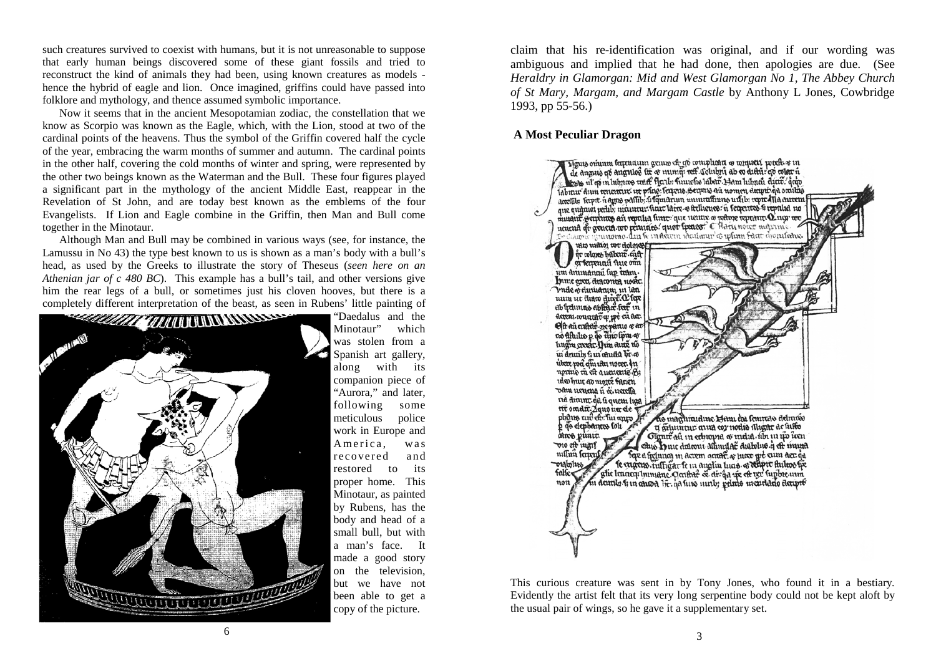such creatures survived to coexist with humans, but it is not unreasonable to suppose that early human beings discovered some of these giant fossils and tried to reconstruct the kind of animals they had been, using known creatures as models hence the hybrid of eagle and lion. Once imagined, griffins could have passed into folklore and mythology, and thence assumed symbolic importance.

 Now it seems that in the ancient Mesopotamian zodiac, the constellation that we know as Scorpio was known as the Eagle, which, with the Lion, stood at two of the cardinal points of the heavens. Thus the symbol of the Griffin covered half the cycle of the year, embracing the warm months of summer and autumn. The cardinal points in the other half, covering the cold months of winter and spring, were represented by the other two beings known as the Waterman and the Bull. These four figures played a significant part in the mythology of the ancient Middle East, reappear in the Revelation of St John, and are today best known as the emblems of the four Evangelists. If Lion and Eagle combine in the Griffin, then Man and Bull come together in the Minotaur.

 Although Man and Bull may be combined in various ways (see, for instance, the Lamussu in No 43) the type best known to us is shown as a man's body with a bull's head, as used by the Greeks to illustrate the story of Theseus (*seen here on an Athenian jar of c 480 BC*). This example has a bull's tail, and other versions give him the rear legs of a bull, or sometimes just his cloven hooves, but there is a completely different interpretation of the beast, as seen in Rubens' little painting of



"Daedalus and the Minotaur" which was stolen from a Spanish art gallery, along with its companion piece of "Aurora," and later, following some meticulous police work in Europe and America, was recovered and restored to its proper home. This Minotaur, as painted by Rubens, has the body and head of a small bull, but with a man's face. It made a good story on the television, but we have not been able to get a copy of the picture.

claim that his re-identification was original, and if our wording was ambiguous and implied that he had done, then apologies are due. (See *Heraldry in Glamorgan: Mid and West Glamorgan No 1, The Abbey Church of St Mary, Margam, and Margam Castle* by Anthony L Jones, Cowbridge 1993, pp 55-56.)

# **A Most Peculiar Dragon**



This curious creature was sent in by Tony Jones, who found it in a bestiary. Evidently the artist felt that its very long serpentine body could not be kept aloft by the usual pair of wings, so he gave it a supplementary set.